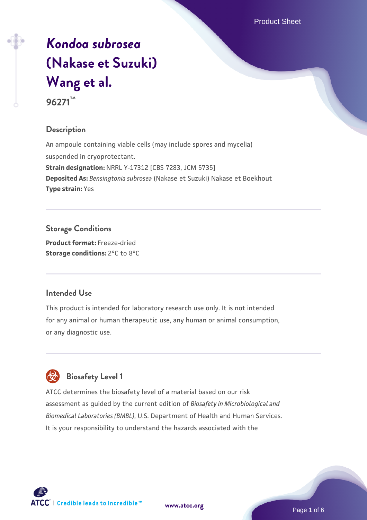# *[Kondoa subrosea](https://www.atcc.org/products/96271)* **[\(Nakase et Suzuki\)](https://www.atcc.org/products/96271) [Wang et al.](https://www.atcc.org/products/96271) 96271™**

#### **Description**

An ampoule containing viable cells (may include spores and mycelia) suspended in cryoprotectant. **Strain designation:** NRRL Y-17312 [CBS 7283, JCM 5735] **Deposited As:** *Bensingtonia subrosea* (Nakase et Suzuki) Nakase et Boekhout **Type strain:** Yes

#### **Storage Conditions**

**Product format:** Freeze-dried **Storage conditions:** 2°C to 8°C

#### **Intended Use**

This product is intended for laboratory research use only. It is not intended for any animal or human therapeutic use, any human or animal consumption, or any diagnostic use.

## **Biosafety Level 1**

ATCC determines the biosafety level of a material based on our risk assessment as guided by the current edition of *Biosafety in Microbiological and Biomedical Laboratories (BMBL)*, U.S. Department of Health and Human Services. It is your responsibility to understand the hazards associated with the



**[www.atcc.org](http://www.atcc.org)**

Page 1 of 6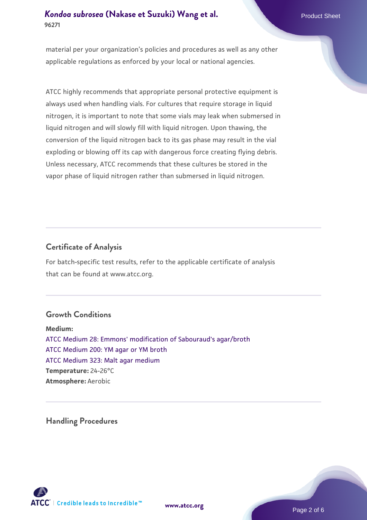material per your organization's policies and procedures as well as any other applicable regulations as enforced by your local or national agencies.

ATCC highly recommends that appropriate personal protective equipment is always used when handling vials. For cultures that require storage in liquid nitrogen, it is important to note that some vials may leak when submersed in liquid nitrogen and will slowly fill with liquid nitrogen. Upon thawing, the conversion of the liquid nitrogen back to its gas phase may result in the vial exploding or blowing off its cap with dangerous force creating flying debris. Unless necessary, ATCC recommends that these cultures be stored in the vapor phase of liquid nitrogen rather than submersed in liquid nitrogen.

#### **Certificate of Analysis**

For batch-specific test results, refer to the applicable certificate of analysis that can be found at www.atcc.org.

#### **Growth Conditions**

**Medium:**  [ATCC Medium 28: Emmons' modification of Sabouraud's agar/broth](https://www.atcc.org/-/media/product-assets/documents/microbial-media-formulations/2/8/atcc-medium-28.pdf?rev=0da0c58cc2a343eeae735016b70809bb) [ATCC Medium 200: YM agar or YM broth](https://www.atcc.org/-/media/product-assets/documents/microbial-media-formulations/2/0/0/atcc-medium-200.pdf?rev=ac40fd74dc13433a809367b0b9da30fc) [ATCC Medium 323: Malt agar medium](https://www.atcc.org/-/media/product-assets/documents/microbial-media-formulations/3/2/3/atcc-medium-323.pdf?rev=58d6457ee20149d7a1c844947569ef92) **Temperature:** 24-26°C **Atmosphere:** Aerobic

**Handling Procedures**





Page 2 of 6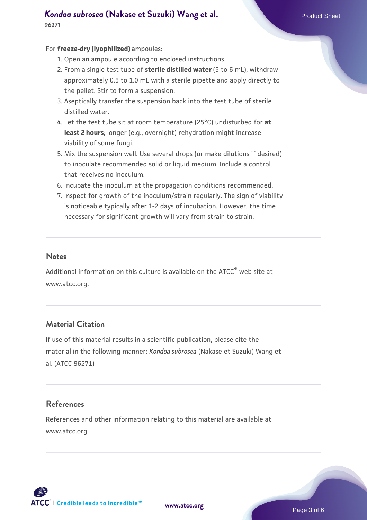#### For **freeze-dry (lyophilized)** ampoules:

- 1. Open an ampoule according to enclosed instructions.
- 2. From a single test tube of **sterile distilled water** (5 to 6 mL), withdraw approximately 0.5 to 1.0 mL with a sterile pipette and apply directly to the pellet. Stir to form a suspension.
- 3. Aseptically transfer the suspension back into the test tube of sterile distilled water.
- Let the test tube sit at room temperature (25°C) undisturbed for **at** 4. **least 2 hours**; longer (e.g., overnight) rehydration might increase viability of some fungi.
- Mix the suspension well. Use several drops (or make dilutions if desired) 5. to inoculate recommended solid or liquid medium. Include a control that receives no inoculum.
- 6. Incubate the inoculum at the propagation conditions recommended.
- 7. Inspect for growth of the inoculum/strain regularly. The sign of viability is noticeable typically after 1-2 days of incubation. However, the time necessary for significant growth will vary from strain to strain.

#### **Notes**

Additional information on this culture is available on the ATCC® web site at www.atcc.org.

#### **Material Citation**

If use of this material results in a scientific publication, please cite the material in the following manner: *Kondoa subrosea* (Nakase et Suzuki) Wang et al. (ATCC 96271)

#### **References**

References and other information relating to this material are available at www.atcc.org.

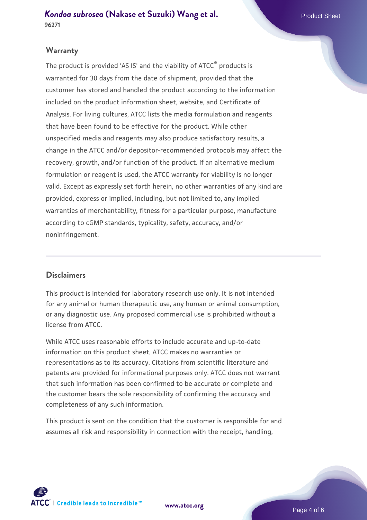#### **Warranty**

The product is provided 'AS IS' and the viability of ATCC® products is warranted for 30 days from the date of shipment, provided that the customer has stored and handled the product according to the information included on the product information sheet, website, and Certificate of Analysis. For living cultures, ATCC lists the media formulation and reagents that have been found to be effective for the product. While other unspecified media and reagents may also produce satisfactory results, a change in the ATCC and/or depositor-recommended protocols may affect the recovery, growth, and/or function of the product. If an alternative medium formulation or reagent is used, the ATCC warranty for viability is no longer valid. Except as expressly set forth herein, no other warranties of any kind are provided, express or implied, including, but not limited to, any implied warranties of merchantability, fitness for a particular purpose, manufacture according to cGMP standards, typicality, safety, accuracy, and/or noninfringement.

#### **Disclaimers**

This product is intended for laboratory research use only. It is not intended for any animal or human therapeutic use, any human or animal consumption, or any diagnostic use. Any proposed commercial use is prohibited without a license from ATCC.

While ATCC uses reasonable efforts to include accurate and up-to-date information on this product sheet, ATCC makes no warranties or representations as to its accuracy. Citations from scientific literature and patents are provided for informational purposes only. ATCC does not warrant that such information has been confirmed to be accurate or complete and the customer bears the sole responsibility of confirming the accuracy and completeness of any such information.

This product is sent on the condition that the customer is responsible for and assumes all risk and responsibility in connection with the receipt, handling,



**[www.atcc.org](http://www.atcc.org)**

Page 4 of 6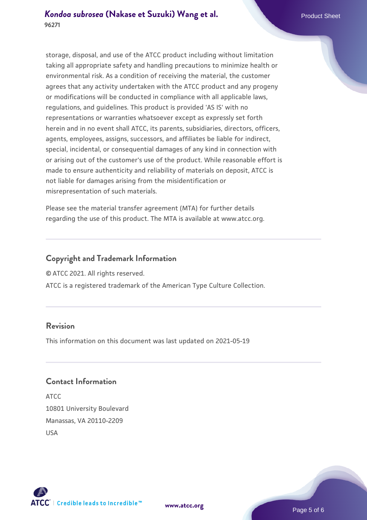storage, disposal, and use of the ATCC product including without limitation taking all appropriate safety and handling precautions to minimize health or environmental risk. As a condition of receiving the material, the customer agrees that any activity undertaken with the ATCC product and any progeny or modifications will be conducted in compliance with all applicable laws, regulations, and guidelines. This product is provided 'AS IS' with no representations or warranties whatsoever except as expressly set forth herein and in no event shall ATCC, its parents, subsidiaries, directors, officers, agents, employees, assigns, successors, and affiliates be liable for indirect, special, incidental, or consequential damages of any kind in connection with or arising out of the customer's use of the product. While reasonable effort is made to ensure authenticity and reliability of materials on deposit, ATCC is not liable for damages arising from the misidentification or misrepresentation of such materials.

Please see the material transfer agreement (MTA) for further details regarding the use of this product. The MTA is available at www.atcc.org.

#### **Copyright and Trademark Information**

© ATCC 2021. All rights reserved.

ATCC is a registered trademark of the American Type Culture Collection.

#### **Revision**

This information on this document was last updated on 2021-05-19

#### **Contact Information**

ATCC 10801 University Boulevard Manassas, VA 20110-2209 USA